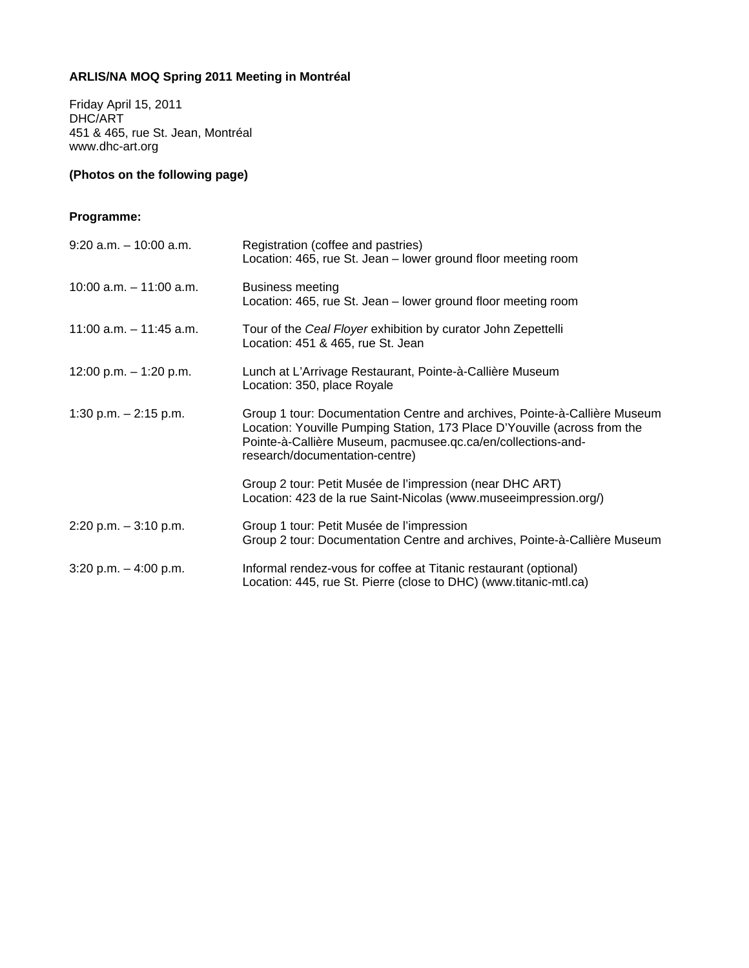## **ARLIS/NA MOQ Spring 2011 Meeting in Montréal**

Friday April 15, 2011 DHC/ART 451 & 465, rue St. Jean, Montréal www.dhc-art.org

## **(Photos on the following page)**

## **Programme:**

| $9:20$ a.m. $-10:00$ a.m. | Registration (coffee and pastries)<br>Location: 465, rue St. Jean - lower ground floor meeting room                                                                                                                                                      |
|---------------------------|----------------------------------------------------------------------------------------------------------------------------------------------------------------------------------------------------------------------------------------------------------|
| 10:00 a.m. $-$ 11:00 a.m. | <b>Business meeting</b><br>Location: 465, rue St. Jean - lower ground floor meeting room                                                                                                                                                                 |
| 11:00 a.m. $-$ 11:45 a.m. | Tour of the Ceal Floyer exhibition by curator John Zepettelli<br>Location: 451 & 465, rue St. Jean                                                                                                                                                       |
| 12:00 p.m. $-$ 1:20 p.m.  | Lunch at L'Arrivage Restaurant, Pointe-à-Callière Museum<br>Location: 350, place Royale                                                                                                                                                                  |
| 1:30 p.m. $- 2:15$ p.m.   | Group 1 tour: Documentation Centre and archives, Pointe-à-Callière Museum<br>Location: Youville Pumping Station, 173 Place D'Youville (across from the<br>Pointe-à-Callière Museum, pacmusee.qc.ca/en/collections-and-<br>research/documentation-centre) |
|                           | Group 2 tour: Petit Musée de l'impression (near DHC ART)<br>Location: 423 de la rue Saint-Nicolas (www.museeimpression.org/)                                                                                                                             |
| $2:20$ p.m. $-3:10$ p.m.  | Group 1 tour: Petit Musée de l'impression<br>Group 2 tour: Documentation Centre and archives, Pointe-à-Callière Museum                                                                                                                                   |
| $3:20$ p.m. $-4:00$ p.m.  | Informal rendez-vous for coffee at Titanic restaurant (optional)<br>Location: 445, rue St. Pierre (close to DHC) (www.titanic-mtl.ca)                                                                                                                    |